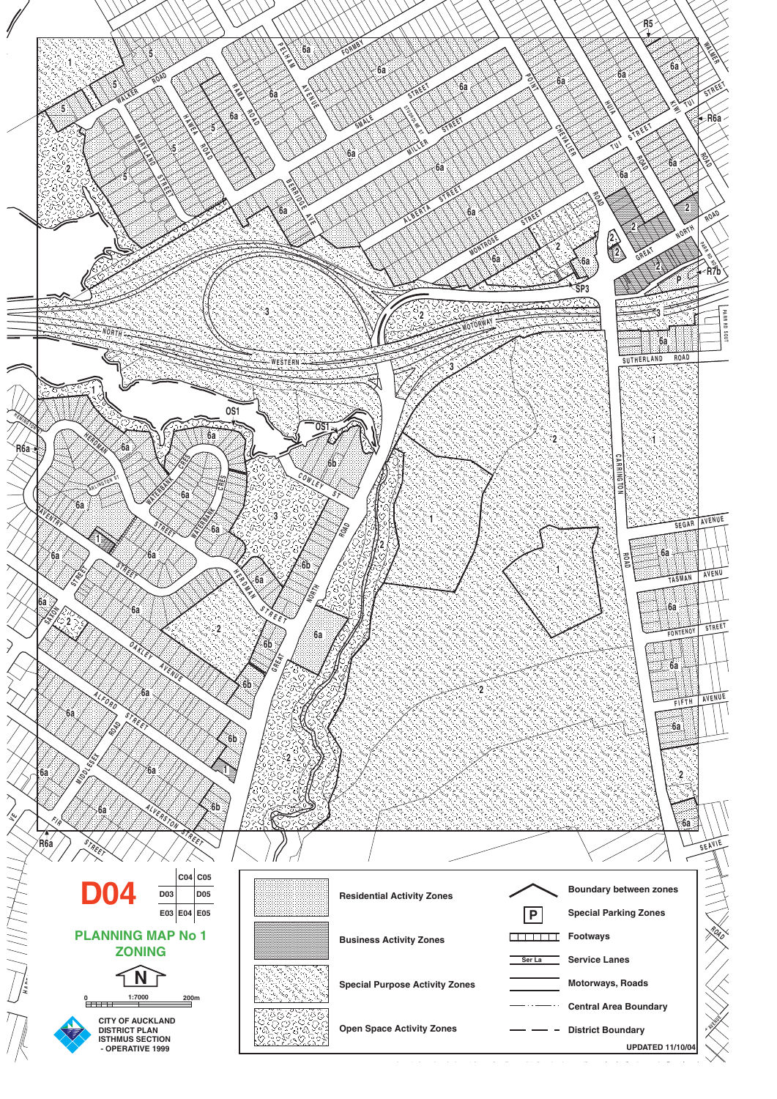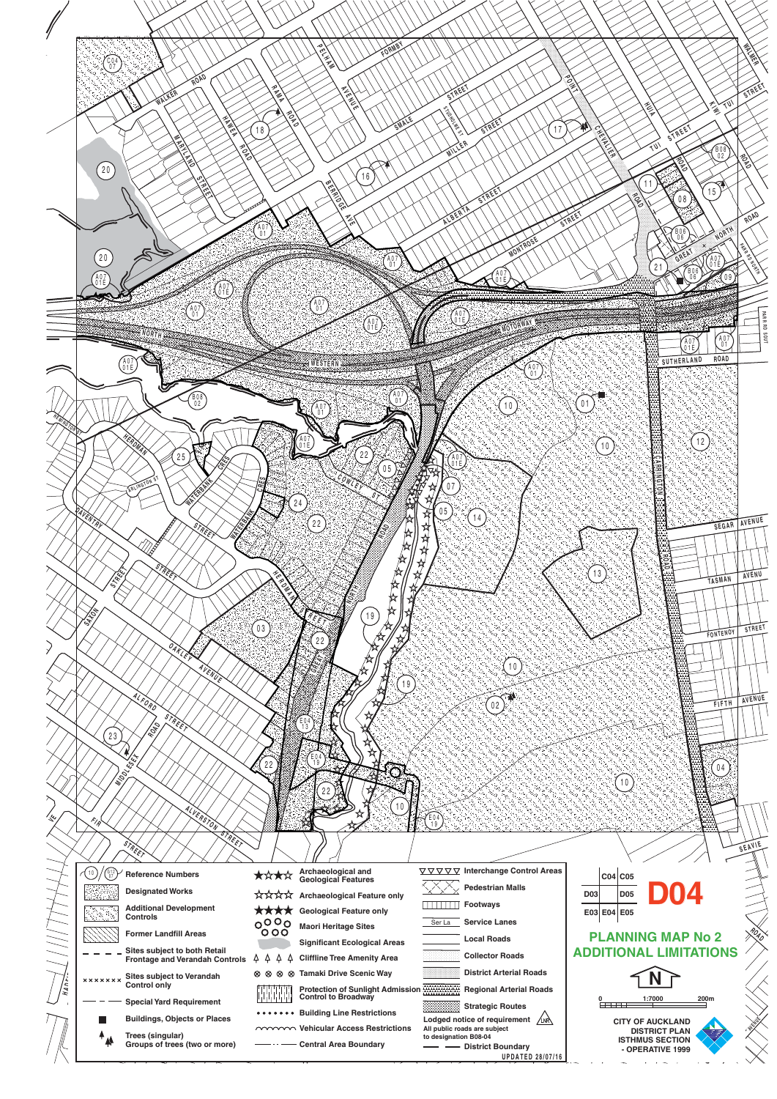|           | $\left(\begin{smallmatrix} 0 & 0 & 0 \\ 0 & 7 & 0 \end{smallmatrix}\right)$<br>ROAD                                         | FORMB1<br><b>ARTISTS</b><br><b>ANAMEDIA</b>                                                                                                 |                                                                                                                                                                                       | へい                                                                                                             |
|-----------|-----------------------------------------------------------------------------------------------------------------------------|---------------------------------------------------------------------------------------------------------------------------------------------|---------------------------------------------------------------------------------------------------------------------------------------------------------------------------------------|----------------------------------------------------------------------------------------------------------------|
|           | <b>PORT</b><br>$\boxed{20}$                                                                                                 | <b>PORT</b><br>SMALE<br>18<br>16                                                                                                            | 17                                                                                                                                                                                    | W<br>STREE<br>似<br>$\begin{bmatrix} 808 \\ 02 \end{bmatrix}$<br>11                                             |
|           | $20$                                                                                                                        | $\begin{bmatrix} 4 & 0 \\ 0 & 1 \end{bmatrix}$<br>$\begin{bmatrix} 0 & 1 \\ 0 & 1 \end{bmatrix}$                                            |                                                                                                                                                                                       | 15<br>08<br>ROAD<br><b>NORTH</b><br>$\left[\begin{smallmatrix} 0 & 6 \\ 0 & 6 \end{smallmatrix}\right]$        |
|           | AO)<br>Que<br>$\widehat{A07}$                                                                                               | $\begin{pmatrix} 4 & 0 \\ 0 & 1 \end{pmatrix}$<br>$\overrightarrow{A07}$                                                                    | A07<br>Q1E                                                                                                                                                                            | 21<br>PARR<br>TUOS OR                                                                                          |
|           | AV/<br>01E<br>$\begin{bmatrix} 808 \\ 02 \end{bmatrix}$                                                                     | <b>NESTERN</b><br>$\begin{bmatrix} 4 & 0 & 7 \\ 0 & 1 \end{bmatrix}$<br>$\left(\begin{smallmatrix} 1 & 0 \\ 0 & 1 \end{smallmatrix}\right)$ | $\begin{pmatrix} 4 & 0 \\ 0 & 1 \end{pmatrix}$<br>$10$                                                                                                                                | $\left[\begin{smallmatrix} 0 & 0 \\ 0 & 1 \end{smallmatrix}\right]$<br>AV/<br>01E<br>ROAD<br>SUTHERLAND<br>01  |
|           | $2\,5$<br>۵U                                                                                                                | 22<br>$0\,5$                                                                                                                                | 大学 大学 大学 大学 大学 大学 スタートル かんじょう かんかん かんかん かんかん かんかん かんかん かんかん アクセストラック<br>07                                                                                                            | (12)<br>(10)                                                                                                   |
|           | VENTRI<br>₩                                                                                                                 | 24<br>$\left(22\right)$<br>忪<br>⊭<br>众人                                                                                                     | $\left[05\right]$<br>$\left(14\right)$<br>작적<br>☆<br>$\frac{1}{2}$                                                                                                                    | AVENUE<br>SEGAR<br>13                                                                                          |
|           | OAKLEY                                                                                                                      | 阫<br>☆<br>19<br>$\binom{03}{ }$<br>22                                                                                                       |                                                                                                                                                                                       | TASMAN<br>STREET<br>FONTENOY                                                                                   |
|           | AVENUE<br>LFORD<br>STREET<br>ROAD                                                                                           | 19<br>E 04<br>13                                                                                                                            | $10$<br>02                                                                                                                                                                            | AVENUE<br>FIFTH                                                                                                |
|           | 23<br>ESE<br>MIDOL<br>ALVERSTON                                                                                             | 22<br>O<br>10                                                                                                                               |                                                                                                                                                                                       | $0\,4$<br>10                                                                                                   |
|           | FI A<br><b>STREET</b><br>STREET                                                                                             |                                                                                                                                             | $\begin{bmatrix} 6 & 4 \\ 1 & 9 \end{bmatrix}$                                                                                                                                        | SEAVIE                                                                                                         |
|           | $\binom{612}{07}$<br>$\begin{pmatrix} 10 \end{pmatrix}$<br><b>Reference Numbers</b><br><b>Designated Works</b>              | Archaeological and<br>Geological Features<br>★☆★☆<br>☆☆☆☆ Archaeological Feature only                                                       | ▽ ▽ ▽ ▽ Interchange Control Areas<br><b>Pedestrian Malls</b><br><b>THEFE</b> Footways                                                                                                 | $CO4$ $CO5$<br><b>D05</b><br>D <sub>03</sub>                                                                   |
|           | <b>Additional Development</b><br>QIR.<br>Controls<br><b>Former Landfill Areas</b><br>Sites subject to both Retail           | ****<br><b>Geological Feature only</b><br>$^{000}_{000}$<br><b>Maori Heritage Sites</b><br><b>Significant Ecological Areas</b>              | <b>Service Lanes</b><br>Ser La<br><b>Local Roads</b>                                                                                                                                  | E03 E04 E05<br><b>PLANNING MAP No 2</b><br><b>ADDITIONAL LIMITATIONS</b>                                       |
| בן<br>יצו | <b>Frontage and Verandah Controls</b><br>Sites subject to Verandah<br>Control only<br>x x x x x x x x                       | 44<br>4<br>$\Delta$<br><b>Cliffline Tree Amenity Area</b><br>⊗ ⊗ ⊗ ⊗ Tamaki Drive Scenic Way<br>Protection of Sunlight Admission            | <b>Collector Roads</b><br><b>District Arterial Roads</b><br><b>Regional Arterial Roads</b>                                                                                            | 1:7000<br>200m                                                                                                 |
|           | <b>Special Yard Requirement</b><br><b>Buildings, Objects or Places</b><br>Trees (singular)<br>Groups of trees (two or more) | <b>Building Line Restrictions</b><br>mmm Vehicular Access Restrictions<br><b>Central Area Boundary</b>                                      | 88<br><b>Strategic Routes</b><br>Lodged notice of requirement $\sqrt{N}$<br>All public roads are subject<br>to designation B08-04<br>- - District Boundary<br><b>UPDATED 28/07/16</b> | $\frac{0}{2}$<br><b>CITY OF AUCKLAND</b><br><b>DISTRICT PLAN</b><br><b>ISTHMUS SECTION</b><br>- OPERATIVE 1999 |